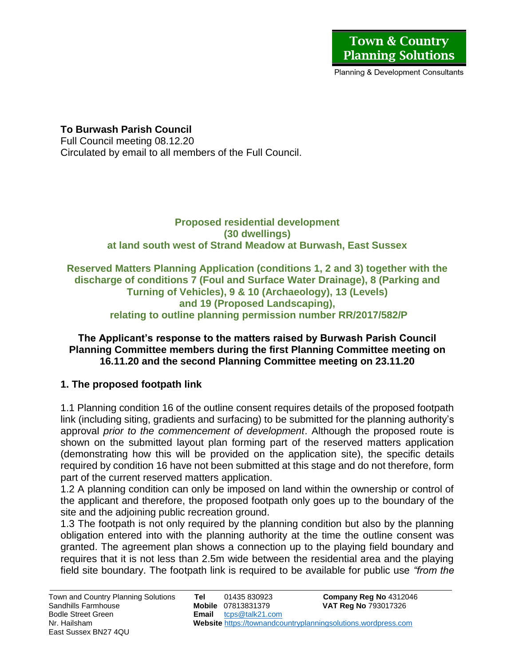**To Burwash Parish Council** 

Full Council meeting 08.12.20 Circulated by email to all members of the Full Council.

> **Proposed residential development (30 dwellings) at land south west of Strand Meadow at Burwash, East Sussex**

### **Reserved Matters Planning Application (conditions 1, 2 and 3) together with the discharge of conditions 7 (Foul and Surface Water Drainage), 8 (Parking and Turning of Vehicles), 9 & 10 (Archaeology), 13 (Levels) and 19 (Proposed Landscaping), relating to outline planning permission number RR/2017/582/P**

#### **The Applicant's response to the matters raised by Burwash Parish Council Planning Committee members during the first Planning Committee meeting on 16.11.20 and the second Planning Committee meeting on 23.11.20**

# **1. The proposed footpath link**

1.1 Planning condition 16 of the outline consent requires details of the proposed footpath link (including siting, gradients and surfacing) to be submitted for the planning authority's approval *prior to the commencement of development*. Although the proposed route is shown on the submitted layout plan forming part of the reserved matters application (demonstrating how this will be provided on the application site), the specific details required by condition 16 have not been submitted at this stage and do not therefore, form part of the current reserved matters application.

1.2 A planning condition can only be imposed on land within the ownership or control of the applicant and therefore, the proposed footpath only goes up to the boundary of the site and the adjoining public recreation ground.

1.3 The footpath is not only required by the planning condition but also by the planning obligation entered into with the planning authority at the time the outline consent was granted. The agreement plan shows a connection up to the playing field boundary and requires that it is not less than 2.5m wide between the residential area and the playing field site boundary. The footpath link is required to be available for public use *"from the*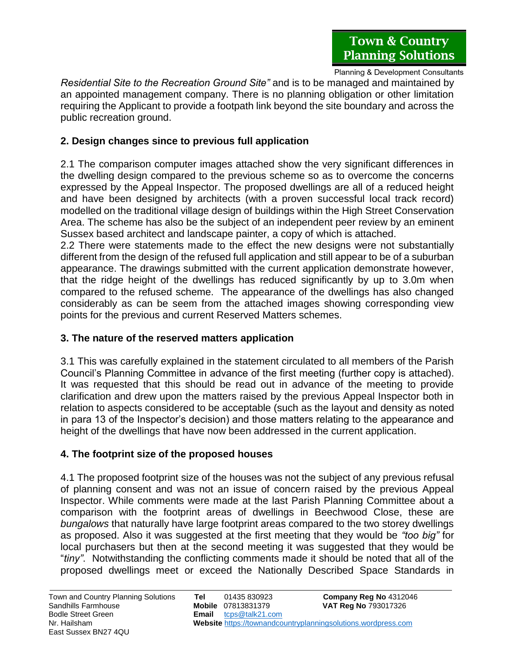*Residential Site to the Recreation Ground Site"* and is to be managed and maintained by an appointed management company. There is no planning obligation or other limitation requiring the Applicant to provide a footpath link beyond the site boundary and across the public recreation ground.

## **2. Design changes since to previous full application**

2.1 The comparison computer images attached show the very significant differences in the dwelling design compared to the previous scheme so as to overcome the concerns expressed by the Appeal Inspector. The proposed dwellings are all of a reduced height and have been designed by architects (with a proven successful local track record) modelled on the traditional village design of buildings within the High Street Conservation Area. The scheme has also be the subject of an independent peer review by an eminent Sussex based architect and landscape painter, a copy of which is attached.

2.2 There were statements made to the effect the new designs were not substantially different from the design of the refused full application and still appear to be of a suburban appearance. The drawings submitted with the current application demonstrate however, that the ridge height of the dwellings has reduced significantly by up to 3.0m when compared to the refused scheme. The appearance of the dwellings has also changed considerably as can be seem from the attached images showing corresponding view points for the previous and current Reserved Matters schemes.

#### **3. The nature of the reserved matters application**

3.1 This was carefully explained in the statement circulated to all members of the Parish Council's Planning Committee in advance of the first meeting (further copy is attached). It was requested that this should be read out in advance of the meeting to provide clarification and drew upon the matters raised by the previous Appeal Inspector both in relation to aspects considered to be acceptable (such as the layout and density as noted in para 13 of the Inspector's decision) and those matters relating to the appearance and height of the dwellings that have now been addressed in the current application.

# **4. The footprint size of the proposed houses**

4.1 The proposed footprint size of the houses was not the subject of any previous refusal of planning consent and was not an issue of concern raised by the previous Appeal Inspector. While comments were made at the last Parish Planning Committee about a comparison with the footprint areas of dwellings in Beechwood Close, these are *bungalows* that naturally have large footprint areas compared to the two storey dwellings as proposed. Also it was suggested at the first meeting that they would be *"too big"* for local purchasers but then at the second meeting it was suggested that they would be "*tiny"*. Notwithstanding the conflicting comments made it should be noted that all of the proposed dwellings meet or exceed the Nationally Described Space Standards in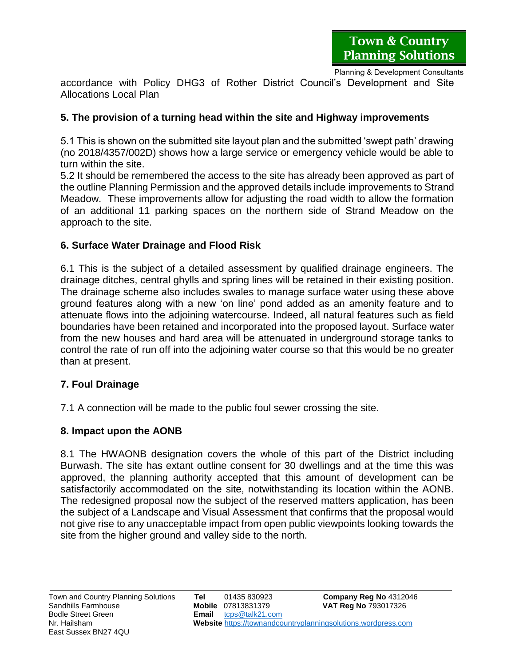accordance with Policy DHG3 of Rother District Council's Development and Site Allocations Local Plan

#### **5. The provision of a turning head within the site and Highway improvements**

5.1 This is shown on the submitted site layout plan and the submitted 'swept path' drawing (no 2018/4357/002D) shows how a large service or emergency vehicle would be able to turn within the site.

5.2 It should be remembered the access to the site has already been approved as part of the outline Planning Permission and the approved details include improvements to Strand Meadow. These improvements allow for adjusting the road width to allow the formation of an additional 11 parking spaces on the northern side of Strand Meadow on the approach to the site.

### **6. Surface Water Drainage and Flood Risk**

6.1 This is the subject of a detailed assessment by qualified drainage engineers. The drainage ditches, central ghylls and spring lines will be retained in their existing position. The drainage scheme also includes swales to manage surface water using these above ground features along with a new 'on line' pond added as an amenity feature and to attenuate flows into the adjoining watercourse. Indeed, all natural features such as field boundaries have been retained and incorporated into the proposed layout. Surface water from the new houses and hard area will be attenuated in underground storage tanks to control the rate of run off into the adjoining water course so that this would be no greater than at present.

# **7. Foul Drainage**

7.1 A connection will be made to the public foul sewer crossing the site.

#### **8. Impact upon the AONB**

8.1 The HWAONB designation covers the whole of this part of the District including Burwash. The site has extant outline consent for 30 dwellings and at the time this was approved, the planning authority accepted that this amount of development can be satisfactorily accommodated on the site, notwithstanding its location within the AONB. The redesigned proposal now the subject of the reserved matters application, has been the subject of a Landscape and Visual Assessment that confirms that the proposal would not give rise to any unacceptable impact from open public viewpoints looking towards the site from the higher ground and valley side to the north.